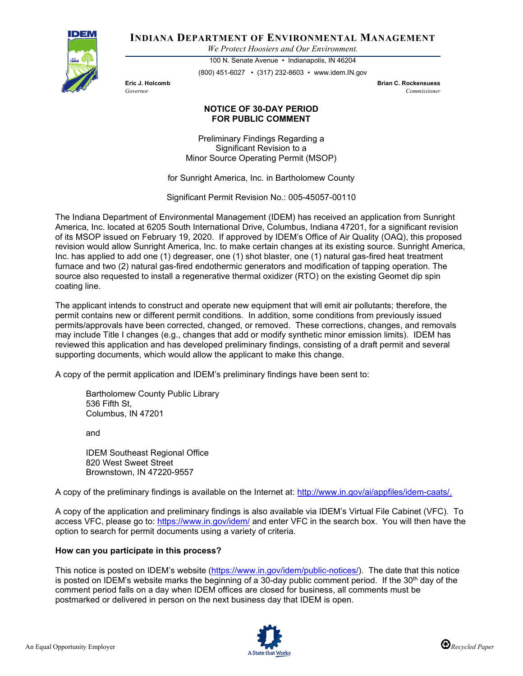

**INDIANA DEPARTMENT OF ENVIRONMENTAL MANAGEMENT**

*We Protect Hoosiers and Our Environment.*

100 N. Senate Avenue • Indianapolis, IN 46204 (800) 451-6027 • (317) 232-8603 • www.idem.IN.gov

**Eric J. Holcomb Brian C. Rockensuess** *Governor Commissioner* 

## **NOTICE OF 30-DAY PERIOD FOR PUBLIC COMMENT**

Preliminary Findings Regarding a Significant Revision to a Minor Source Operating Permit (MSOP)

for Sunright America, Inc. in Bartholomew County

Significant Permit Revision No.: 005-45057-00110

The Indiana Department of Environmental Management (IDEM) has received an application from Sunright America, Inc. located at 6205 South International Drive, Columbus, Indiana 47201, for a significant revision of its MSOP issued on February 19, 2020. If approved by IDEM's Office of Air Quality (OAQ), this proposed revision would allow Sunright America, Inc. to make certain changes at its existing source. Sunright America, Inc. has applied to add one (1) degreaser, one (1) shot blaster, one (1) natural gas-fired heat treatment furnace and two (2) natural gas-fired endothermic generators and modification of tapping operation. The source also requested to install a regenerative thermal oxidizer (RTO) on the existing Geomet dip spin coating line.

The applicant intends to construct and operate new equipment that will emit air pollutants; therefore, the permit contains new or different permit conditions. In addition, some conditions from previously issued permits/approvals have been corrected, changed, or removed. These corrections, changes, and removals may include Title I changes (e.g., changes that add or modify synthetic minor emission limits). IDEM has reviewed this application and has developed preliminary findings, consisting of a draft permit and several supporting documents, which would allow the applicant to make this change.

A copy of the permit application and IDEM's preliminary findings have been sent to:

Bartholomew County Public Library 536 Fifth St, Columbus, IN 47201

and

IDEM Southeast Regional Office 820 West Sweet Street Brownstown, IN 47220-9557

A copy of the preliminary findings is available on the Internet at: [http://www.in.gov/ai/appfiles/idem-caats/.](http://www.in.gov/ai/appfiles/idem-caats/)

A copy of the application and preliminary findings is also available via IDEM's Virtual File Cabinet (VFC). To access VFC, please go to:<https://www.in.gov/idem/> and enter VFC in the search box. You will then have the option to search for permit documents using a variety of criteria.

## **How can you participate in this process?**

This notice is posted on IDEM's website [\(https://www.in.gov/idem/public-notices/\)](https://www.in.gov/idem/public-notices/). The date that this notice is posted on IDEM's website marks the beginning of a 30-day public comment period. If the  $30<sup>th</sup>$  day of the comment period falls on a day when IDEM offices are closed for business, all comments must be postmarked or delivered in person on the next business day that IDEM is open.